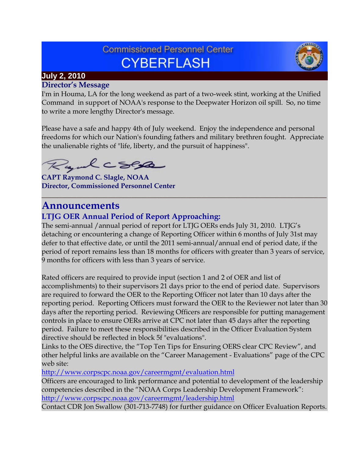# **Commissioned Personnel Center CYBERFLASH**

## **July 2, 2010**

## **Director's Message**

I'm in Houma, LA for the long weekend as part of a two-week stint, working at the Unified Command in support of NOAA's response to the Deepwater Horizon oil spill. So, no time to write a more lengthy Director's message.

Please have a safe and happy 4th of July weekend. Enjoy the independence and personal freedoms for which our Nation's founding fathers and military brethren fought. Appreciate the unalienable rights of "life, liberty, and the pursuit of happiness".



**CAPT Raymond C. Slagle, NOAA Director, Commissioned Personnel Center**

## **Announcements LTJG OER Annual Period of Report Approaching:**

The semi-annual /annual period of report for LTJG OERs ends July 31, 2010. LTJG's detaching or encountering a change of Reporting Officer within 6 months of July 31st may defer to that effective date, or until the 2011 semi-annual/annual end of period date, if the period of report remains less than 18 months for officers with greater than 3 years of service, 9 months for officers with less than 3 years of service.

**\_\_\_\_\_\_\_\_\_\_\_\_\_\_\_\_\_\_\_\_\_\_\_\_\_\_\_\_\_\_\_\_\_\_\_\_\_\_\_\_\_\_\_\_\_\_\_\_\_\_\_\_\_\_\_\_\_\_\_\_\_\_\_\_\_\_\_\_\_\_\_\_\_**

Rated officers are required to provide input (section 1 and 2 of OER and list of accomplishments) to their supervisors 21 days prior to the end of period date. Supervisors are required to forward the OER to the Reporting Officer not later than 10 days after the reporting period. Reporting Officers must forward the OER to the Reviewer not later than 30 days after the reporting period. Reviewing Officers are responsible for putting management controls in place to ensure OERs arrive at CPC not later than 45 days after the reporting period. Failure to meet these responsibilities described in the Officer Evaluation System directive should be reflected in block 5f "evaluations".

Links to the OES directive, the "Top Ten Tips for Ensuring OERS clear CPC Review", and other helpful links are available on the "Career Management - Evaluations" page of the CPC web site:

<http://www.corpscpc.noaa.gov/careermgmt/evaluation.html>

Officers are encouraged to link performance and potential to development of the leadership competencies described in the "NOAA Corps Leadership Development Framework": <http://www.corpscpc.noaa.gov/careermgmt/leadership.html>

Contact CDR Jon Swallow (301-713-7748) for further guidance on Officer Evaluation Reports.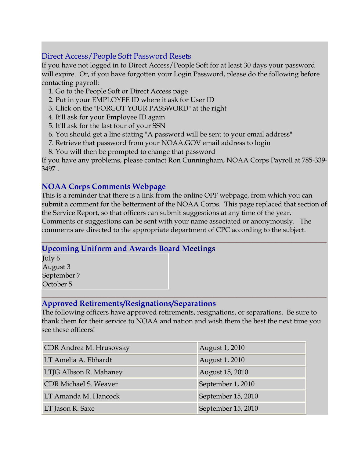## Direct Access/People Soft Password Resets

If you have not logged in to Direct Access/People Soft for at least 30 days your password will expire. Or, if you have forgotten your Login Password, please do the following before contacting payroll:

- 1. Go to the People Soft or Direct Access page
- 2. Put in your EMPLOYEE ID where it ask for User ID
- 3. Click on the "FORGOT YOUR PASSWORD" at the right
- 4. It'll ask for your Employee ID again
- 5. It'll ask for the last four of your SSN
- 6. You should get a line stating "A password will be sent to your email address"
- 7. Retrieve that password from your NOAA.GOV email address to login
- 8. You will then be prompted to change that password

If you have any problems, please contact Ron Cunningham, NOAA Corps Payroll at 785-339- 3497 .

## **NOAA Corps Comments Webpage**

This is a reminder that there is a link from the online OPF webpage, from which you can submit a comment for the betterment of the NOAA Corps. This page replaced that section of the Service Report, so that officers can submit suggestions at any time of the year. Comments or suggestions can be sent with your name associated or anonymously. The comments are directed to the appropriate department of CPC according to the subject.

**\_\_\_\_\_\_\_\_\_\_\_\_\_\_\_\_\_\_\_\_\_\_\_\_\_\_\_\_\_\_\_\_\_\_\_\_\_\_\_\_\_\_\_\_\_\_\_\_\_\_\_\_\_\_\_\_\_\_\_\_\_\_\_\_\_\_\_\_\_\_\_\_\_**

### **Upcoming Uniform and Awards Board Meetings**

July 6 August 3 September 7 October 5

#### **\_\_\_\_\_\_\_\_\_\_\_\_\_\_\_\_\_\_\_\_\_\_\_\_\_\_\_\_\_\_\_\_\_\_\_\_\_\_\_\_\_\_\_\_\_\_\_\_\_\_\_\_\_\_\_\_\_\_\_\_\_\_\_\_\_\_\_\_\_\_\_\_\_ Approved Retirements/Resignations/Separations**

The following officers have approved retirements, resignations, or separations. Be sure to thank them for their service to NOAA and nation and wish them the best the next time you see these officers!

| CDR Andrea M. Hrusovsky      | <b>August 1, 2010</b> |
|------------------------------|-----------------------|
| LT Amelia A. Ebhardt         | August 1, 2010        |
| LTJG Allison R. Mahaney      | August 15, 2010       |
| <b>CDR Michael S. Weaver</b> | September 1, 2010     |
| LT Amanda M. Hancock         | September 15, 2010    |
| LT Jason R. Saxe             | September 15, 2010    |